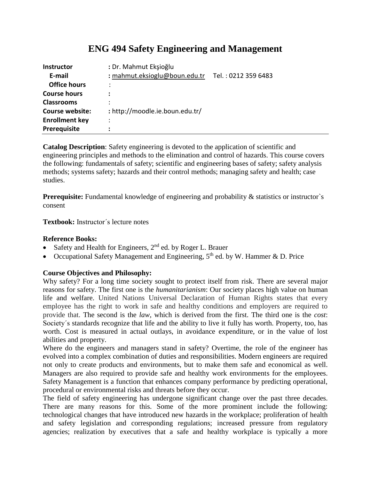# **ENG 494 Safety Engineering and Management**

| <b>Instructor</b>      | : Dr. Mahmut Ekşioğlu           |                     |
|------------------------|---------------------------------|---------------------|
| E-mail                 | : mahmut.eksioglu@boun.edu.tr   | Tel.: 0212 359 6483 |
| <b>Office hours</b>    |                                 |                     |
| <b>Course hours</b>    |                                 |                     |
| <b>Classrooms</b>      |                                 |                     |
| <b>Course website:</b> | : http://moodle.ie.boun.edu.tr/ |                     |
| <b>Enrollment key</b>  | $\bullet$                       |                     |
| Prerequisite           |                                 |                     |

**Catalog Description**: Safety engineering is devoted to the application of scientific and engineering principles and methods to the elimination and control of hazards. This course covers the following: fundamentals of safety; scientific and engineering bases of safety; safety analysis methods; systems safety; hazards and their control methods; managing safety and health; case studies.

**Prerequisite:** Fundamental knowledge of engineering and probability & statistics or instructor's consent

**Textbook:** Instructor´s lecture notes

### **Reference Books:**

- Safety and Health for Engineers, 2<sup>nd</sup> ed. by Roger L. Brauer
- Occupational Safety Management and Engineering,  $5<sup>th</sup>$  ed. by W. Hammer & D. Price

# **Course Objectives and Philosophy:**

Why safety? For a long time society sought to protect itself from risk. There are several major reasons for safety. The first one is the *humanitarianism*: Our society places high value on human life and welfare. United Nations Universal Declaration of Human Rights states that every employee has the right to work in safe and healthy conditions and employers are required to provide that. The second is the *law*, which is derived from the first. The third one is the *cost*: Society´s standards recognize that life and the ability to live it fully has worth. Property, too, has worth. Cost is measured in actual outlays, in avoidance expenditure, or in the value of lost abilities and property.

Where do the engineers and managers stand in safety? Overtime, the role of the engineer has evolved into a complex combination of duties and responsibilities. Modern engineers are required not only to create products and environments, but to make them safe and economical as well. Managers are also required to provide safe and healthy work environments for the employees. Safety Management is a function that enhances company performance by predicting operational, procedural or environmental risks and threats before they occur.

The field of safety engineering has undergone significant change over the past three decades. There are many reasons for this. Some of the more prominent include the following: technological changes that have introduced new hazards in the workplace; proliferation of health and safety legislation and corresponding regulations; increased pressure from regulatory agencies; realization by executives that a safe and healthy workplace is typically a more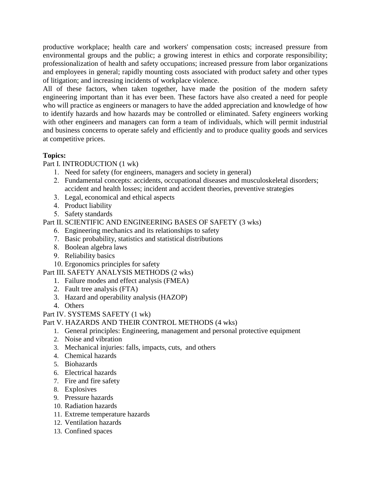productive workplace; health care and workers' compensation costs; increased pressure from environmental groups and the public; a growing interest in ethics and corporate responsibility; professionalization of health and safety occupations; increased pressure from labor organizations and employees in general; rapidly mounting costs associated with product safety and other types of litigation; and increasing incidents of workplace violence.

All of these factors, when taken together, have made the position of the modern safety engineering important than it has ever been. These factors have also created a need for people who will practice as engineers or managers to have the added appreciation and knowledge of how to identify hazards and how hazards may be controlled or eliminated. Safety engineers working with other engineers and managers can form a team of individuals, which will permit industrial and business concerns to operate safely and efficiently and to produce quality goods and services at competitive prices.

# **Topics:**

# Part I. INTRODUCTION (1 wk)

- 1. Need for safety (for engineers, managers and society in general)
- 2. Fundamental concepts: accidents, occupational diseases and musculoskeletal disorders; accident and health losses; incident and accident theories, preventive strategies
- 3. Legal, economical and ethical aspects
- 4. Product liability
- 5. Safety standards

Part II. SCIENTIFIC AND ENGINEERING BASES OF SAFETY (3 wks)

- 6. Engineering mechanics and its relationships to safety
- 7. Basic probability, statistics and statistical distributions
- 8. Boolean algebra laws
- 9. Reliability basics
- 10. Ergonomics principles for safety

#### Part III. SAFETY ANALYSIS METHODS (2 wks)

- 1. Failure modes and effect analysis (FMEA)
- 2. Fault tree analysis (FTA)
- 3. Hazard and operability analysis (HAZOP)
- 4. Others
- Part IV. SYSTEMS SAFETY (1 wk)

#### Part V. HAZARDS AND THEIR CONTROL METHODS (4 wks)

- 1. General principles: Engineering, management and personal protective equipment
- 2. Noise and vibration
- 3. Mechanical injuries: falls, impacts, cuts, and others
- 4. Chemical hazards
- 5. Biohazards
- 6. Electrical hazards
- 7. Fire and fire safety
- 8. Explosives
- 9. Pressure hazards
- 10. Radiation hazards
- 11. Extreme temperature hazards
- 12. Ventilation hazards
- 13. Confined spaces